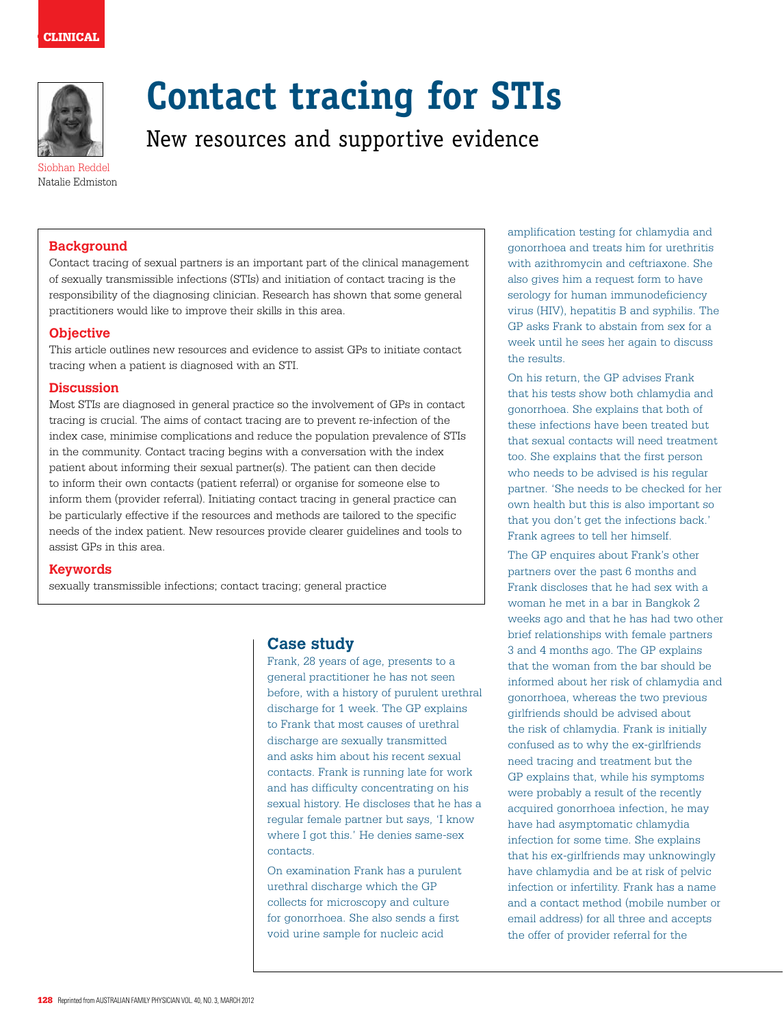

# **Contact tracing for STIs**

New resources and supportive evidence

Siobhan Reddel Natalie Edmiston

## **Background**

Contact tracing of sexual partners is an important part of the clinical management of sexually transmissible infections (STIs) and initiation of contact tracing is the responsibility of the diagnosing clinician. Research has shown that some general practitioners would like to improve their skills in this area.

## **Objective**

This article outlines new resources and evidence to assist GPs to initiate contact tracing when a patient is diagnosed with an STI.

### **Discussion**

Most STIs are diagnosed in general practice so the involvement of GPs in contact tracing is crucial. The aims of contact tracing are to prevent re-infection of the index case, minimise complications and reduce the population prevalence of STIs in the community. Contact tracing begins with a conversation with the index patient about informing their sexual partner(s). The patient can then decide to inform their own contacts (patient referral) or organise for someone else to inform them (provider referral). Initiating contact tracing in general practice can be particularly effective if the resources and methods are tailored to the specific needs of the index patient. New resources provide clearer guidelines and tools to assist GPs in this area.

#### **Keywords**

sexually transmissible infections; contact tracing; general practice

## **Case study**

Frank, 28 years of age, presents to a general practitioner he has not seen before, with a history of purulent urethral discharge for 1 week. The GP explains to Frank that most causes of urethral discharge are sexually transmitted and asks him about his recent sexual contacts. Frank is running late for work and has difficulty concentrating on his sexual history. He discloses that he has a regular female partner but says, 'I know where I got this.' He denies same-sex contacts.

On examination Frank has a purulent urethral discharge which the GP collects for microscopy and culture for gonorrhoea. She also sends a first void urine sample for nucleic acid

amplification testing for chlamydia and gonorrhoea and treats him for urethritis with azithromycin and ceftriaxone. She also gives him a request form to have serology for human immunodeficiency virus (HIV), hepatitis B and syphilis. The GP asks Frank to abstain from sex for a week until he sees her again to discuss the results.

On his return, the GP advises Frank that his tests show both chlamydia and gonorrhoea. She explains that both of these infections have been treated but that sexual contacts will need treatment too. She explains that the first person who needs to be advised is his regular partner. 'She needs to be checked for her own health but this is also important so that you don't get the infections back.' Frank agrees to tell her himself.

The GP enquires about Frank's other partners over the past 6 months and Frank discloses that he had sex with a woman he met in a bar in Bangkok 2 weeks ago and that he has had two other brief relationships with female partners 3 and 4 months ago. The GP explains that the woman from the bar should be informed about her risk of chlamydia and gonorrhoea, whereas the two previous girlfriends should be advised about the risk of chlamydia. Frank is initially confused as to why the ex-girlfriends need tracing and treatment but the GP explains that, while his symptoms were probably a result of the recently acquired gonorrhoea infection, he may have had asymptomatic chlamydia infection for some time. She explains that his ex-girlfriends may unknowingly have chlamydia and be at risk of pelvic infection or infertility. Frank has a name and a contact method (mobile number or email address) for all three and accepts the offer of provider referral for the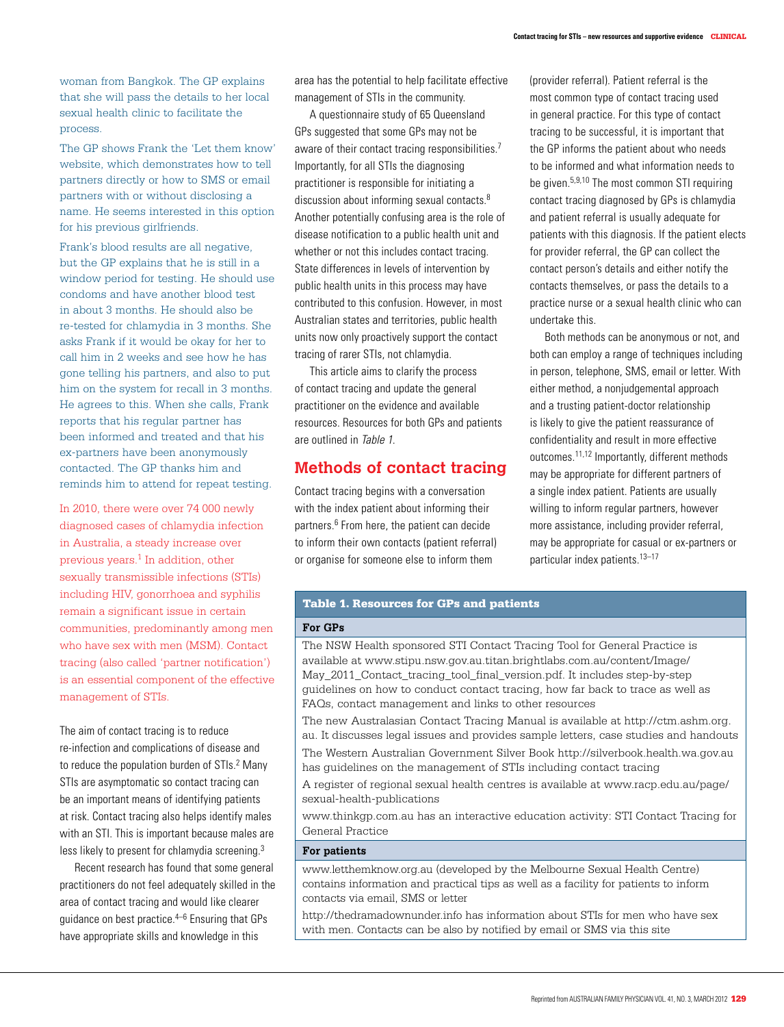woman from Bangkok. The GP explains that she will pass the details to her local sexual health clinic to facilitate the process.

The GP shows Frank the 'Let them know' website, which demonstrates how to tell partners directly or how to SMS or email partners with or without disclosing a name. He seems interested in this option for his previous girlfriends.

Frank's blood results are all negative, but the GP explains that he is still in a window period for testing. He should use condoms and have another blood test in about 3 months. He should also be re-tested for chlamydia in 3 months. She asks Frank if it would be okay for her to call him in 2 weeks and see how he has gone telling his partners, and also to put him on the system for recall in 3 months. He agrees to this. When she calls, Frank reports that his regular partner has been informed and treated and that his ex-partners have been anonymously contacted. The GP thanks him and reminds him to attend for repeat testing.

In 2010, there were over 74 000 newly diagnosed cases of chlamydia infection in Australia, a steady increase over previous years.<sup>1</sup> In addition, other sexually transmissible infections (STIs) including HIV, gonorrhoea and syphilis remain a significant issue in certain communities, predominantly among men who have sex with men (MSM). Contact tracing (also called 'partner notification') is an essential component of the effective management of STIs.

The aim of contact tracing is to reduce re-infection and complications of disease and to reduce the population burden of STIs.<sup>2</sup> Many STIs are asymptomatic so contact tracing can be an important means of identifying patients at risk. Contact tracing also helps identify males with an STI. This is important because males are less likely to present for chlamydia screening.3

Recent research has found that some general practitioners do not feel adequately skilled in the area of contact tracing and would like clearer guidance on best practice.4–6 Ensuring that GPs have appropriate skills and knowledge in this

area has the potential to help facilitate effective management of STIs in the community.

A questionnaire study of 65 Queensland GPs suggested that some GPs may not be aware of their contact tracing responsibilities.<sup>7</sup> Importantly, for all STIs the diagnosing practitioner is responsible for initiating a discussion about informing sexual contacts.<sup>8</sup> Another potentially confusing area is the role of disease notification to a public health unit and whether or not this includes contact tracing. State differences in levels of intervention by public health units in this process may have contributed to this confusion. However, in most Australian states and territories, public health units now only proactively support the contact tracing of rarer STIs, not chlamydia.

This article aims to clarify the process of contact tracing and update the general practitioner on the evidence and available resources. Resources for both GPs and patients are outlined in Table 1.

# **Methods of contact tracing**

Contact tracing begins with a conversation with the index patient about informing their partners.<sup>6</sup> From here, the patient can decide to inform their own contacts (patient referral) or organise for someone else to inform them

(provider referral). Patient referral is the most common type of contact tracing used in general practice. For this type of contact tracing to be successful, it is important that the GP informs the patient about who needs to be informed and what information needs to be given.5,9,10 The most common STI requiring contact tracing diagnosed by GPs is chlamydia and patient referral is usually adequate for patients with this diagnosis. If the patient elects for provider referral, the GP can collect the contact person's details and either notify the contacts themselves, or pass the details to a practice nurse or a sexual health clinic who can undertake this.

Both methods can be anonymous or not, and both can employ a range of techniques including in person, telephone, SMS, email or letter. With either method, a nonjudgemental approach and a trusting patient-doctor relationship is likely to give the patient reassurance of confidentiality and result in more effective outcomes.11,12 Importantly, different methods may be appropriate for different partners of a single index patient. Patients are usually willing to inform regular partners, however more assistance, including provider referral, may be appropriate for casual or ex-partners or particular index patients.13–17

## Table 1. Resources for GPs and patients

#### **For GPs**

The NSW Health sponsored STI Contact Tracing Tool for General Practice is available at www.stipu.nsw.gov.au.titan.brightlabs.com.au/content/Image/ May\_2011\_Contact\_tracing\_tool\_final\_version.pdf. It includes step-by-step guidelines on how to conduct contact tracing, how far back to trace as well as FAQs, contact management and links to other resources

The new Australasian Contact Tracing Manual is available at http://ctm.ashm.org. au. It discusses legal issues and provides sample letters, case studies and handouts The Western Australian Government Silver Book http://silverbook.health.wa.gov.au

has guidelines on the management of STIs including contact tracing

A register of regional sexual health centres is available at www.racp.edu.au/page/ sexual-health-publications

www.thinkgp.com.au has an interactive education activity: STI Contact Tracing for General Practice

#### **For patients**

www.letthemknow.org.au (developed by the Melbourne Sexual Health Centre) contains information and practical tips as well as a facility for patients to inform contacts via email, SMS or letter

http://thedramadownunder.info has information about STIs for men who have sex with men. Contacts can be also by notified by email or SMS via this site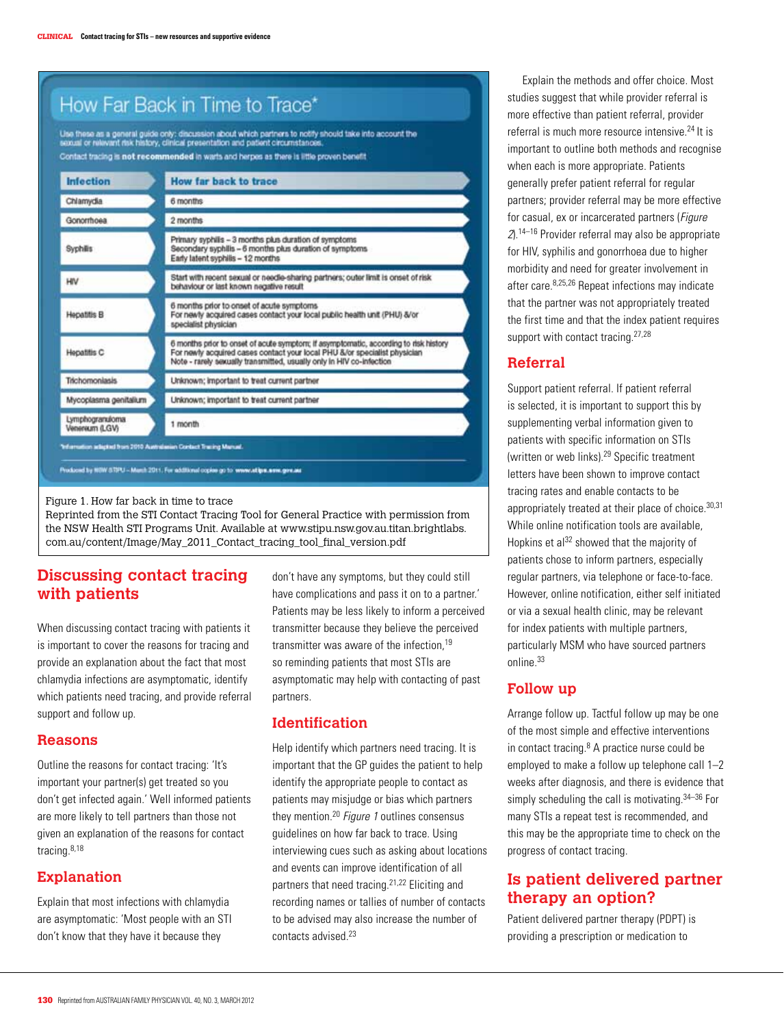|                                   | Use these as a general guide only: discussion about which partners to notify should take into account the<br>sexual or relevant risk history, clinical presentation and patient circumstances.                                            |
|-----------------------------------|-------------------------------------------------------------------------------------------------------------------------------------------------------------------------------------------------------------------------------------------|
| <b>Infection</b>                  | Contact tracing is not recommended in warts and herpes as there is little proven benefit<br>How far back to trace                                                                                                                         |
| Chlamydia                         | 6 months                                                                                                                                                                                                                                  |
| Gonomhoea                         | 2 months                                                                                                                                                                                                                                  |
| Syphilis                          | Primary syphilis - 3 months plus duration of symptoms<br>Secondary syphilis - 6 months plus duration of symptoms<br>Early latent syphilis - 12 months                                                                                     |
| HIV                               | Start with recent sexual or needle-sharing partners; outer limit is onset of risk<br>behaviour or last known negative result                                                                                                              |
| Hepatitis B                       | 6 months prior to onset of acute symptoms<br>For newly acquired cases contact your local public health unit (PHU) &/or<br>specialist physician                                                                                            |
| Hepatitis C                       | 6 months prior to onset of acute symptom; if asymptomatic, according to risk history<br>For newly acquired cases contact your local PHU &/or specialist physician<br>Note - rarely sexually transmitted, usually only in HIV co-infection |
| <b>Trichomoniasis</b>             | Unknown; important to treat current partner                                                                                                                                                                                               |
| Mycoplasma genitalium             | Unknown; important to treat current partner                                                                                                                                                                                               |
| Lymphogranuloma<br>Veneraum (LGV) | 1 month                                                                                                                                                                                                                                   |

Figure 1. How far back in time to trace

Reprinted from the STI Contact Tracing Tool for General Practice with permission from the NSW Health STI Programs Unit. Available at www.stipu.nsw.gov.au.titan.brightlabs. com.au/content/Image/May\_2011\_Contact\_tracing\_tool\_final\_version.pdf

# **Discussing contact tracing with patients**

When discussing contact tracing with patients it is important to cover the reasons for tracing and provide an explanation about the fact that most chlamydia infections are asymptomatic, identify which patients need tracing, and provide referral support and follow up.

## **Reasons**

Outline the reasons for contact tracing: 'It's important your partner(s) get treated so you don't get infected again.' Well informed patients are more likely to tell partners than those not given an explanation of the reasons for contact tracing.8,18

# **Explanation**

Explain that most infections with chlamydia are asymptomatic: 'Most people with an STI don't know that they have it because they

don't have any symptoms, but they could still have complications and pass it on to a partner.' Patients may be less likely to inform a perceived transmitter because they believe the perceived transmitter was aware of the infection,<sup>19</sup> so reminding patients that most STIs are asymptomatic may help with contacting of past partners.

# **Identification**

Help identify which partners need tracing. It is important that the GP guides the patient to help identify the appropriate people to contact as patients may misjudge or bias which partners they mention.<sup>20</sup> Figure 1 outlines consensus guidelines on how far back to trace. Using interviewing cues such as asking about locations and events can improve identification of all partners that need tracing.21,22 Eliciting and recording names or tallies of number of contacts to be advised may also increase the number of contacts advised.<sup>23</sup>

Explain the methods and offer choice. Most studies suggest that while provider referral is more effective than patient referral, provider referral is much more resource intensive.24 It is important to outline both methods and recognise when each is more appropriate. Patients generally prefer patient referral for regular partners; provider referral may be more effective for casual, ex or incarcerated partners (Figure 2).14–16 Provider referral may also be appropriate for HIV, syphilis and gonorrhoea due to higher morbidity and need for greater involvement in after care.8,25,26 Repeat infections may indicate that the partner was not appropriately treated the first time and that the index patient requires support with contact tracing.<sup>27,28</sup>

# **Referral**

Support patient referral. If patient referral is selected, it is important to support this by supplementing verbal information given to patients with specific information on STIs (written or web links).29 Specific treatment letters have been shown to improve contact tracing rates and enable contacts to be appropriately treated at their place of choice. 30,31 While online notification tools are available, Hopkins et al<sup>32</sup> showed that the majority of patients chose to inform partners, especially regular partners, via telephone or face-to-face. However, online notification, either self initiated or via a sexual health clinic, may be relevant for index patients with multiple partners, particularly MSM who have sourced partners online.33

# **Follow up**

Arrange follow up. Tactful follow up may be one of the most simple and effective interventions in contact tracing.<sup>8</sup> A practice nurse could be employed to make a follow up telephone call 1–2 weeks after diagnosis, and there is evidence that simply scheduling the call is motivating.<sup>34-36</sup> For many STIs a repeat test is recommended, and this may be the appropriate time to check on the progress of contact tracing.

# **Is patient delivered partner therapy an option?**

Patient delivered partner therapy (PDPT) is providing a prescription or medication to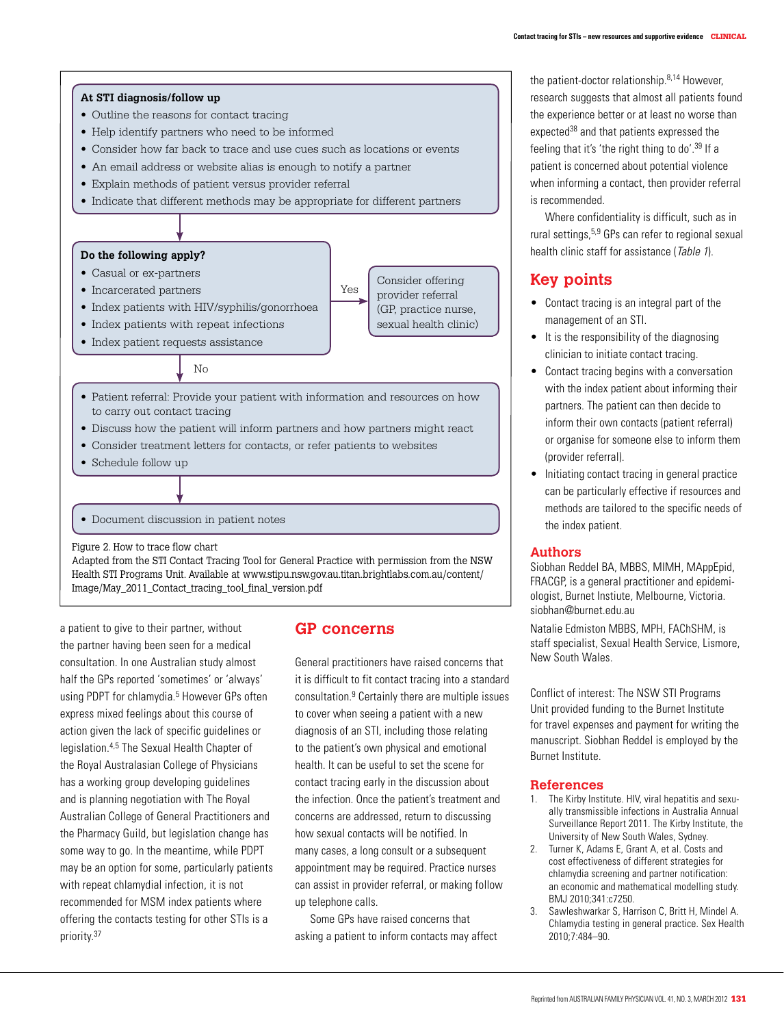

a patient to give to their partner, without the partner having been seen for a medical consultation. In one Australian study almost half the GPs reported 'sometimes' or 'always' using PDPT for chlamydia.<sup>5</sup> However GPs often express mixed feelings about this course of action given the lack of specific guidelines or legislation.4,5 The Sexual Health Chapter of the Royal Australasian College of Physicians has a working group developing guidelines and is planning negotiation with The Royal Australian College of General Practitioners and the Pharmacy Guild, but legislation change has some way to go. In the meantime, while PDPT may be an option for some, particularly patients with repeat chlamydial infection, it is not recommended for MSM index patients where offering the contacts testing for other STIs is a priority.37

Image/May\_2011\_Contact\_tracing\_tool\_final\_version.pdf

## **GP concerns**

General practitioners have raised concerns that it is difficult to fit contact tracing into a standard consultation.9 Certainly there are multiple issues to cover when seeing a patient with a new diagnosis of an STI, including those relating to the patient's own physical and emotional health. It can be useful to set the scene for contact tracing early in the discussion about the infection. Once the patient's treatment and concerns are addressed, return to discussing how sexual contacts will be notified. In many cases, a long consult or a subsequent appointment may be required. Practice nurses can assist in provider referral, or making follow up telephone calls.

Some GPs have raised concerns that asking a patient to inform contacts may affect

the patient-doctor relationship.<sup>8,14</sup> However research suggests that almost all patients found the experience better or at least no worse than expected<sup>38</sup> and that patients expressed the feeling that it's 'the right thing to do'.39 If a patient is concerned about potential violence when informing a contact, then provider referral is recommended.

Where confidentiality is difficult, such as in rural settings,5,9 GPs can refer to regional sexual health clinic staff for assistance (Table 1).

# **Key points**

- Contact tracing is an integral part of the management of an STI.
- It is the responsibility of the diagnosing clinician to initiate contact tracing.
- • Contact tracing begins with a conversation with the index patient about informing their partners. The patient can then decide to inform their own contacts (patient referral) or organise for someone else to inform them (provider referral).
- Initiating contact tracing in general practice can be particularly effective if resources and methods are tailored to the specific needs of the index patient.

#### **Authors**

Siobhan Reddel BA, MBBS, MIMH, MAppEpid, FRACGP, is a general practitioner and epidemiologist, Burnet Instiute, Melbourne, Victoria. siobhan@burnet.edu.au

Natalie Edmiston MBBS, MPH, FAChSHM, is staff specialist, Sexual Health Service, Lismore, New South Wales.

Conflict of interest: The NSW STI Programs Unit provided funding to the Burnet Institute for travel expenses and payment for writing the manuscript. Siobhan Reddel is employed by the Burnet Institute.

#### **References**

- 1. The Kirby Institute. HIV, viral hepatitis and sexually transmissible infections in Australia Annual Surveillance Report 2011. The Kirby Institute, the University of New South Wales, Sydney.
- 2. Turner K, Adams E, Grant A, et al. Costs and cost effectiveness of different strategies for chlamydia screening and partner notification: an economic and mathematical modelling study. BMJ 2010;341:c7250.
- 3. Sawleshwarkar S, Harrison C, Britt H, Mindel A. Chlamydia testing in general practice. Sex Health 2010;7:484–90.